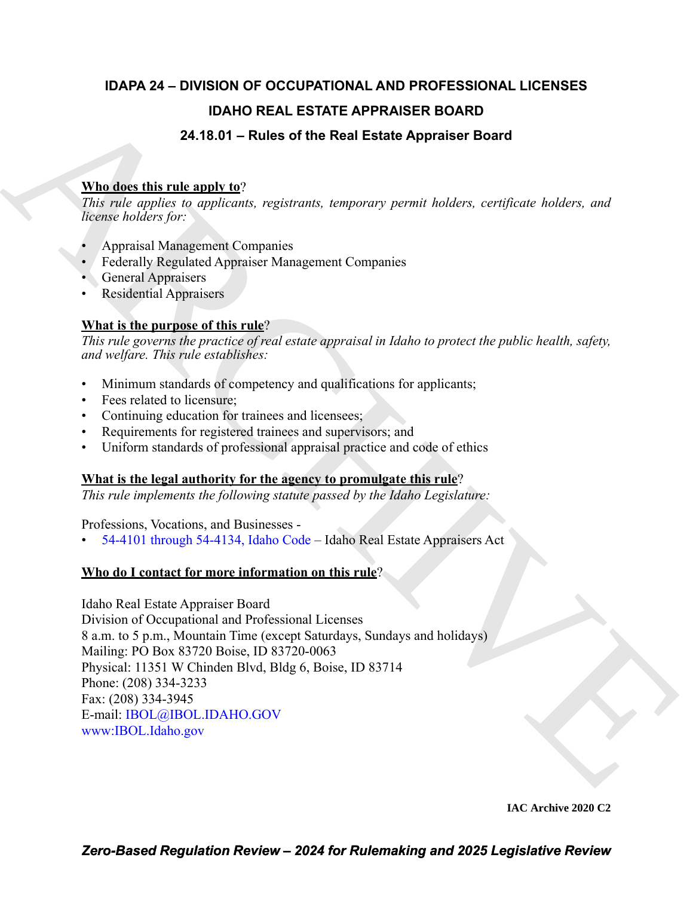# **IDAPA 24 – DIVISION OF OCCUPATIONAL AND PROFESSIONAL LICENSES IDAHO REAL ESTATE APPRAISER BOARD 24.18.01 – Rules of the Real Estate Appraiser Board**

# **Who does this rule apply to**?

*This rule applies to applicants, registrants, temporary permit holders, certificate holders, and license holders for:*

- Appraisal Management Companies
- Federally Regulated Appraiser Management Companies
- General Appraisers
- Residential Appraisers

### **What is the purpose of this rule**?

*This rule governs the practice of real estate appraisal in Idaho to protect the public health, safety, and welfare. This rule establishes:*

- Minimum standards of competency and qualifications for applicants;
- Fees related to licensure;
- Continuing education for trainees and licensees;
- Requirements for registered trainees and supervisors; and
- Uniform standards of professional appraisal practice and code of ethics

## **What is the legal authority for the agency to promulgate this rule**?

*This rule implements the following statute passed by the Idaho Legislature:*

Professions, Vocations, and Businesses -

• 54-4101 through 54-4134, Idaho Code – Idaho Real Estate Appraisers Act

### **Who do I contact for more information on this rule**?

**IDA[H](https://legislature.idaho.gov/statutesrules/idstat/Title54/T54CH41/)O REAL ESTATE APPRAISER BOARD<br>
Murdies this critics of the Real Estate Appraiser Board<br>
This role applies in regulatory, registrates tampentary parenti leaking, considerate leaking, and<br>
Version busines (** $\mu$ **) applic** Idaho Real Estate Appraiser Board Division of Occupational and Professional Licenses 8 a.m. to 5 p.m., Mountain Time (except Saturdays, Sundays and holidays) Mailing: PO Box 83720 Boise, ID 83720-0063 Physical: 11351 W Chinden Blvd, Bldg 6, Boise, ID 83714 Phone: (208) 334-3233 Fax: (208) 334-3945 E-mail: IBOL@IBOL.IDAHO.GOV www:IBOL.Idaho.gov

**IAC Archive 2020 C2**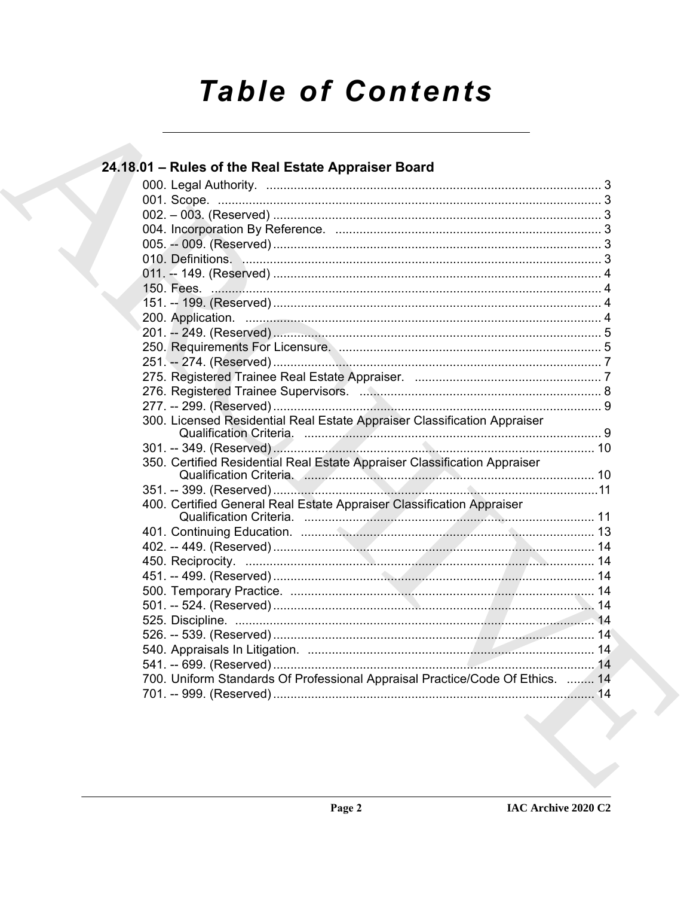# **Table of Contents**

| 24.18.01 - Rules of the Real Estate Appraiser Board                           |  |
|-------------------------------------------------------------------------------|--|
|                                                                               |  |
|                                                                               |  |
|                                                                               |  |
|                                                                               |  |
|                                                                               |  |
|                                                                               |  |
|                                                                               |  |
|                                                                               |  |
|                                                                               |  |
|                                                                               |  |
|                                                                               |  |
|                                                                               |  |
|                                                                               |  |
|                                                                               |  |
|                                                                               |  |
|                                                                               |  |
| 300. Licensed Residential Real Estate Appraiser Classification Appraiser      |  |
|                                                                               |  |
| 350. Certified Residential Real Estate Appraiser Classification Appraiser     |  |
|                                                                               |  |
| 400. Certified General Real Estate Appraiser Classification Appraiser         |  |
|                                                                               |  |
|                                                                               |  |
|                                                                               |  |
|                                                                               |  |
|                                                                               |  |
|                                                                               |  |
|                                                                               |  |
|                                                                               |  |
|                                                                               |  |
|                                                                               |  |
| 700. Uniform Standards Of Professional Appraisal Practice/Code Of Ethics.  14 |  |
|                                                                               |  |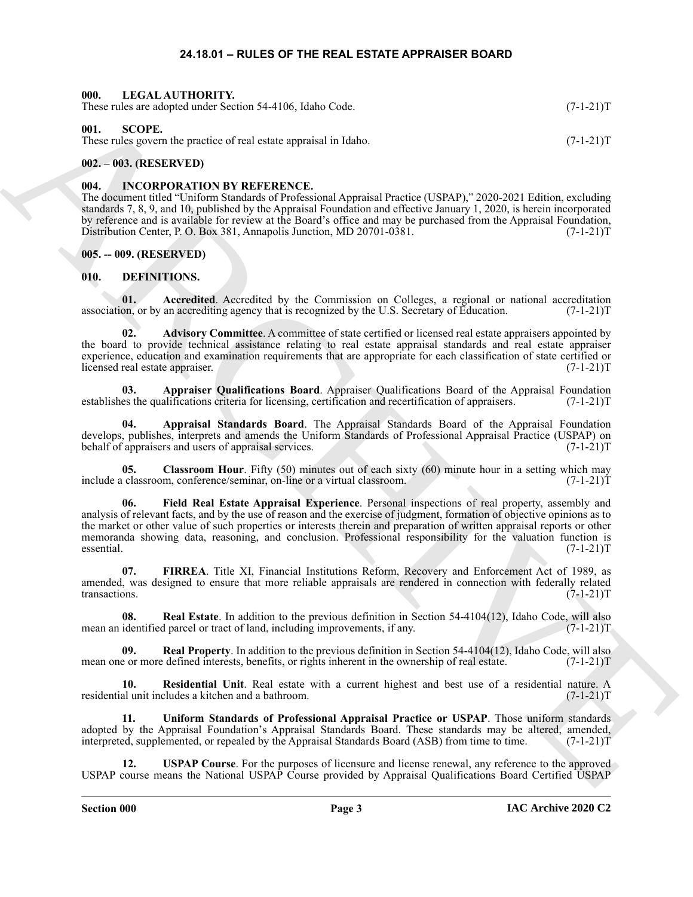#### **24.18.01 – RULES OF THE REAL ESTATE APPRAISER BOARD**

<span id="page-2-22"></span><span id="page-2-21"></span><span id="page-2-2"></span><span id="page-2-1"></span><span id="page-2-0"></span>

| 000. LEGAL AUTHORITY.<br>These rules are adopted under Section 54-4106, Idaho Code.<br>$(7-1-21)T$ |             |  |  |
|----------------------------------------------------------------------------------------------------|-------------|--|--|
| 001.<br>-SCOPE.<br>These rules govern the practice of real estate appraisal in Idaho.              | $(7-1-21)T$ |  |  |

#### <span id="page-2-3"></span>**002. – 003. (RESERVED)**

#### <span id="page-2-20"></span><span id="page-2-4"></span>**004. INCORPORATION BY REFERENCE.**

The document titled "Uniform Standards of Professional Appraisal Practice (USPAP)," 2020-2021 Edition, excluding standards 7, 8, 9, and 10, published by the Appraisal Foundation and effective January 1, 2020, is herein incorporated by reference and is available for review at the Board's office and may be purchased from the Appraisal Foundation, Distribution Center, P. O. Box 381, Annapolis Junction, MD 20701-0381. (7-1-21) (7-1-21)

#### <span id="page-2-5"></span>**005. -- 009. (RESERVED)**

#### <span id="page-2-7"></span><span id="page-2-6"></span>**010. DEFINITIONS.**

<span id="page-2-8"></span>**01.** Accredited. Accredited by the Commission on Colleges, a regional or national accreditation on, or by an accrediting agency that is recognized by the U.S. Secretary of Education. (7-1-21) association, or by an accrediting agency that is recognized by the U.S. Secretary of Education.

<span id="page-2-9"></span>**02. Advisory Committee**. A committee of state certified or licensed real estate appraisers appointed by the board to provide technical assistance relating to real estate appraisal standards and real estate appraiser experience, education and examination requirements that are appropriate for each classification of state certified or licensed real estate appraiser. (7-1-21)T

<span id="page-2-11"></span>**03. Appraiser Qualifications Board**. Appraiser Qualifications Board of the Appraisal Foundation es the qualifications criteria for licensing, certification and recertification of appraisers. (7-1-21)T establishes the qualifications criteria for licensing, certification and recertification of appraisers.

<span id="page-2-10"></span>**04. Appraisal Standards Board**. The Appraisal Standards Board of the Appraisal Foundation develops, publishes, interprets and amends the Uniform Standards of Professional Appraisal Practice (USPAP) on behalf of appraisers and users of appraisal services. (7-1-21) behalf of appraisers and users of appraisal services.

<span id="page-2-13"></span><span id="page-2-12"></span>**05.** Classroom Hour. Fifty (50) minutes out of each sixty (60) minute hour in a setting which may classroom, conference/seminar, on-line or a virtual classroom. (7-1-21) include a classroom, conference/seminar, on-line or a virtual classroom.

Here selective the Society of the Society of the Columb Control Control Control Control Control Control Control Control Control Control Control Control Control Control Control Control Control Control Control Control Contr **06. Field Real Estate Appraisal Experience**. Personal inspections of real property, assembly and analysis of relevant facts, and by the use of reason and the exercise of judgment, formation of objective opinions as to the market or other value of such properties or interests therein and preparation of written appraisal reports or other memoranda showing data, reasoning, and conclusion. Professional responsibility for the valuation function is essential. (7-1-21)T

<span id="page-2-14"></span>**07. FIRREA**. Title XI, Financial Institutions Reform, Recovery and Enforcement Act of 1989, as amended, was designed to ensure that more reliable appraisals are rendered in connection with federally related transactions.  $(7-1-21)T$ 

<span id="page-2-15"></span>**08.** Real Estate. In addition to the previous definition in Section 54-4104(12), Idaho Code, will also identified parcel or tract of land, including improvements, if any. (7-1-21) mean an identified parcel or tract of land, including improvements, if any.

<span id="page-2-16"></span>**09. Real Property**. In addition to the previous definition in Section 54-4104(12), Idaho Code, will also mean one or more defined interests, benefits, or rights inherent in the ownership of real estate.  $(7-1-21)T$ 

<span id="page-2-17"></span>**10. Residential Unit**. Real estate with a current highest and best use of a residential nature. A al unit includes a kitchen and a bathroom. (7-1-21) residential unit includes a kitchen and a bathroom.

<span id="page-2-18"></span>**11. Uniform Standards of Professional Appraisal Practice or USPAP**. Those uniform standards adopted by the Appraisal Foundation's Appraisal Standards Board. These standards may be altered, amended, interpreted, supplemented, or repealed by the Appraisal Standards Board (ASB) from time to time. (7-1-21)T interpreted, supplemented, or repealed by the Appraisal Standards Board (ASB) from time to time.

<span id="page-2-19"></span>**12. USPAP Course**. For the purposes of licensure and license renewal, any reference to the approved USPAP course means the National USPAP Course provided by Appraisal Qualifications Board Certified USPAP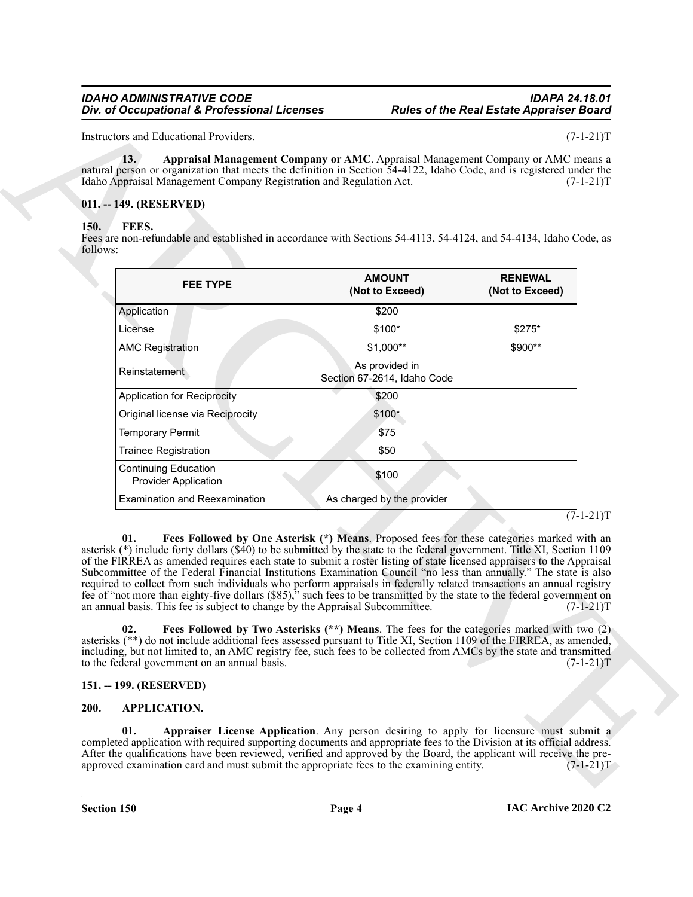#### <span id="page-3-6"></span><span id="page-3-0"></span>**011. -- 149. (RESERVED)**

#### <span id="page-3-7"></span><span id="page-3-1"></span>**150. FEES.**

| 13.<br>natural person or organization that meets the definition in Section 54-4122, Idaho Code, and is registered under the                                                                                                                                                                                                                                                                                                                                                                                                                                                                                                                                                                                                                                                                                                                        | Appraisal Management Company or AMC. Appraisal Management Company or AMC means a                                                                                                         |                                   |
|----------------------------------------------------------------------------------------------------------------------------------------------------------------------------------------------------------------------------------------------------------------------------------------------------------------------------------------------------------------------------------------------------------------------------------------------------------------------------------------------------------------------------------------------------------------------------------------------------------------------------------------------------------------------------------------------------------------------------------------------------------------------------------------------------------------------------------------------------|------------------------------------------------------------------------------------------------------------------------------------------------------------------------------------------|-----------------------------------|
| Idaho Appraisal Management Company Registration and Regulation Act.                                                                                                                                                                                                                                                                                                                                                                                                                                                                                                                                                                                                                                                                                                                                                                                |                                                                                                                                                                                          | $(7-1-21)T$                       |
| 011. -- 149. (RESERVED)                                                                                                                                                                                                                                                                                                                                                                                                                                                                                                                                                                                                                                                                                                                                                                                                                            |                                                                                                                                                                                          |                                   |
| FEES.<br>150.                                                                                                                                                                                                                                                                                                                                                                                                                                                                                                                                                                                                                                                                                                                                                                                                                                      |                                                                                                                                                                                          |                                   |
| Fees are non-refundable and established in accordance with Sections 54-4113, 54-4124, and 54-4134, Idaho Code, as<br>follows:                                                                                                                                                                                                                                                                                                                                                                                                                                                                                                                                                                                                                                                                                                                      |                                                                                                                                                                                          |                                   |
|                                                                                                                                                                                                                                                                                                                                                                                                                                                                                                                                                                                                                                                                                                                                                                                                                                                    |                                                                                                                                                                                          |                                   |
| <b>FEE TYPE</b>                                                                                                                                                                                                                                                                                                                                                                                                                                                                                                                                                                                                                                                                                                                                                                                                                                    | <b>AMOUNT</b><br>(Not to Exceed)                                                                                                                                                         | <b>RENEWAL</b><br>(Not to Exceed) |
| Application                                                                                                                                                                                                                                                                                                                                                                                                                                                                                                                                                                                                                                                                                                                                                                                                                                        | \$200                                                                                                                                                                                    |                                   |
| License                                                                                                                                                                                                                                                                                                                                                                                                                                                                                                                                                                                                                                                                                                                                                                                                                                            | \$100*                                                                                                                                                                                   | \$275*                            |
| <b>AMC Registration</b>                                                                                                                                                                                                                                                                                                                                                                                                                                                                                                                                                                                                                                                                                                                                                                                                                            | $$1,000**$                                                                                                                                                                               | \$900**                           |
| Reinstatement                                                                                                                                                                                                                                                                                                                                                                                                                                                                                                                                                                                                                                                                                                                                                                                                                                      | As provided in<br>Section 67-2614, Idaho Code                                                                                                                                            |                                   |
| <b>Application for Reciprocity</b>                                                                                                                                                                                                                                                                                                                                                                                                                                                                                                                                                                                                                                                                                                                                                                                                                 | \$200                                                                                                                                                                                    |                                   |
| Original license via Reciprocity                                                                                                                                                                                                                                                                                                                                                                                                                                                                                                                                                                                                                                                                                                                                                                                                                   | $$100*$                                                                                                                                                                                  |                                   |
| <b>Temporary Permit</b>                                                                                                                                                                                                                                                                                                                                                                                                                                                                                                                                                                                                                                                                                                                                                                                                                            | \$75                                                                                                                                                                                     |                                   |
| Trainee Registration                                                                                                                                                                                                                                                                                                                                                                                                                                                                                                                                                                                                                                                                                                                                                                                                                               | \$50                                                                                                                                                                                     |                                   |
| <b>Continuing Education</b><br><b>Provider Application</b>                                                                                                                                                                                                                                                                                                                                                                                                                                                                                                                                                                                                                                                                                                                                                                                         | \$100                                                                                                                                                                                    |                                   |
| <b>Examination and Reexamination</b>                                                                                                                                                                                                                                                                                                                                                                                                                                                                                                                                                                                                                                                                                                                                                                                                               | As charged by the provider                                                                                                                                                               |                                   |
| 01.<br>asterisk (*) include forty dollars (\$40) to be submitted by the state to the federal government. Title XI, Section 1109<br>of the FIRREA as amended requires each state to submit a roster listing of state licensed appraisers to the Appraisal<br>Subcommittee of the Federal Financial Institutions Examination Council "no less than annually." The state is also<br>required to collect from such individuals who perform appraisals in federally related transactions an annual registry<br>fee of "not more than eighty-five dollars (\$85)," such fees to be transmitted by the state to the federal government on<br>an annual basis. This fee is subject to change by the Appraisal Subcommittee.<br>02.<br>asterisks (**) do not include additional fees assessed pursuant to Title XI, Section 1109 of the FIRREA, as amended, | Fees Followed by One Asterisk (*) Means. Proposed fees for these categories marked with an<br>Fees Followed by Two Asterisks (**) Means. The fees for the categories marked with two (2) | $(7-1-21)T$                       |
| including, but not limited to, an AMC registry fee, such fees to be collected from AMCs by the state and transmitted<br>to the federal government on an annual basis.                                                                                                                                                                                                                                                                                                                                                                                                                                                                                                                                                                                                                                                                              |                                                                                                                                                                                          | $(7-1-21)T$                       |
| 151. -- 199. (RESERVED)                                                                                                                                                                                                                                                                                                                                                                                                                                                                                                                                                                                                                                                                                                                                                                                                                            |                                                                                                                                                                                          |                                   |
| 200.<br><b>APPLICATION.</b>                                                                                                                                                                                                                                                                                                                                                                                                                                                                                                                                                                                                                                                                                                                                                                                                                        |                                                                                                                                                                                          |                                   |
|                                                                                                                                                                                                                                                                                                                                                                                                                                                                                                                                                                                                                                                                                                                                                                                                                                                    |                                                                                                                                                                                          |                                   |

 $(7-1-21)T$ 

#### <span id="page-3-9"></span><span id="page-3-8"></span><span id="page-3-2"></span>**151. -- 199. (RESERVED)**

#### <span id="page-3-5"></span><span id="page-3-4"></span><span id="page-3-3"></span>**200. APPLICATION.**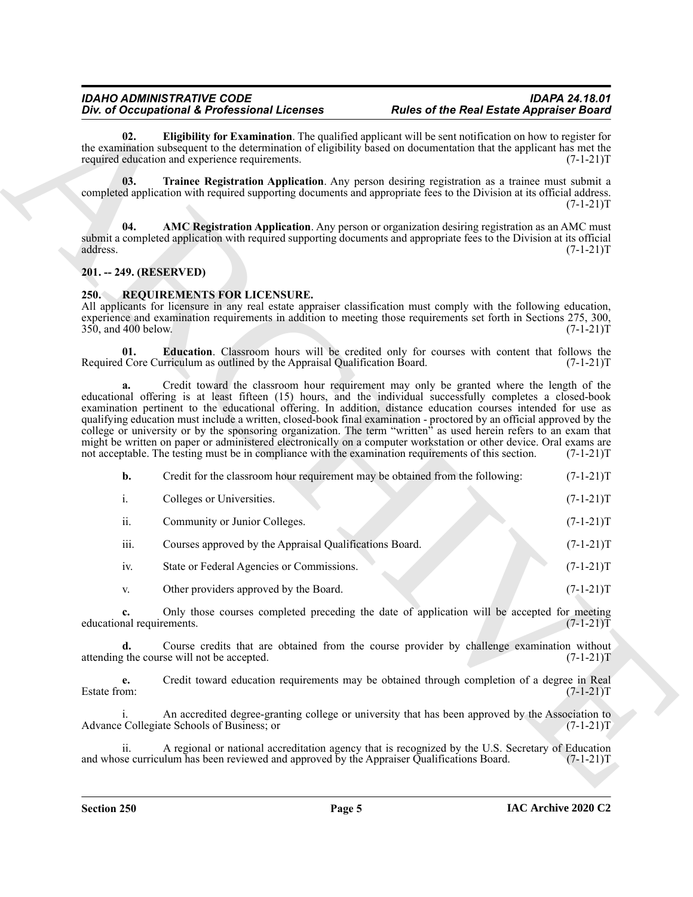#### <span id="page-4-4"></span><span id="page-4-2"></span><span id="page-4-0"></span>**201. -- 249. (RESERVED)**

#### <span id="page-4-6"></span><span id="page-4-5"></span><span id="page-4-1"></span>**250. REQUIREMENTS FOR LICENSURE.**

<span id="page-4-3"></span>

|                                    | Div. of Occupational & Professional Licenses                                                         | <b>Rules of the Real Estate Appraiser Board</b>                                                                                                                                                                                                                                                                                                                                                                                                                                                                                                                                                                                                                                                |                            |
|------------------------------------|------------------------------------------------------------------------------------------------------|------------------------------------------------------------------------------------------------------------------------------------------------------------------------------------------------------------------------------------------------------------------------------------------------------------------------------------------------------------------------------------------------------------------------------------------------------------------------------------------------------------------------------------------------------------------------------------------------------------------------------------------------------------------------------------------------|----------------------------|
| 02.                                | required education and experience requirements.                                                      | Eligibility for Examination. The qualified applicant will be sent notification on how to register for<br>the examination subsequent to the determination of eligibility based on documentation that the applicant has met the                                                                                                                                                                                                                                                                                                                                                                                                                                                                  | $(7-1-21)T$                |
| 03.                                |                                                                                                      | Trainee Registration Application. Any person desiring registration as a trainee must submit a<br>completed application with required supporting documents and appropriate fees to the Division at its official address.                                                                                                                                                                                                                                                                                                                                                                                                                                                                        | $(7-1-21)T$                |
| 04.<br>address.                    |                                                                                                      | AMC Registration Application. Any person or organization desiring registration as an AMC must<br>submit a completed application with required supporting documents and appropriate fees to the Division at its official                                                                                                                                                                                                                                                                                                                                                                                                                                                                        | $(7-1-21)T$                |
| 201. -- 249. (RESERVED)            |                                                                                                      |                                                                                                                                                                                                                                                                                                                                                                                                                                                                                                                                                                                                                                                                                                |                            |
| <b>250.</b><br>350, and 400 below. | REQUIREMENTS FOR LICENSURE.                                                                          | All applicants for licensure in any real estate appraiser classification must comply with the following education,<br>experience and examination requirements in addition to meeting those requirements set forth in Sections 275, 300,                                                                                                                                                                                                                                                                                                                                                                                                                                                        | $(7-1-21)T$                |
| 01.                                | Required Core Curriculum as outlined by the Appraisal Qualification Board.                           | Education. Classroom hours will be credited only for courses with content that follows the                                                                                                                                                                                                                                                                                                                                                                                                                                                                                                                                                                                                     | $(7-1-21)T$                |
| a.                                 | not acceptable. The testing must be in compliance with the examination requirements of this section. | Credit toward the classroom hour requirement may only be granted where the length of the<br>educational offering is at least fifteen (15) hours, and the individual successfully completes a closed-book<br>examination pertinent to the educational offering. In addition, distance education courses intended for use as<br>qualifying education must include a written, closed-book final examination - proctored by an official approved by the<br>college or university or by the sponsoring organization. The term "written" as used herein refers to an exam that<br>might be written on paper or administered electronically on a computer workstation or other device. Oral exams are | $(7-1-21)T$                |
| b.                                 | Credit for the classroom hour requirement may be obtained from the following:                        |                                                                                                                                                                                                                                                                                                                                                                                                                                                                                                                                                                                                                                                                                                | $(7-1-21)T$                |
| i.                                 | Colleges or Universities.                                                                            |                                                                                                                                                                                                                                                                                                                                                                                                                                                                                                                                                                                                                                                                                                | $(7-1-21)T$                |
| ii.                                | Community or Junior Colleges.                                                                        |                                                                                                                                                                                                                                                                                                                                                                                                                                                                                                                                                                                                                                                                                                | $(7-1-21)T$                |
| iii.                               | Courses approved by the Appraisal Qualifications Board.                                              |                                                                                                                                                                                                                                                                                                                                                                                                                                                                                                                                                                                                                                                                                                | $(7-1-21)T$                |
| iv.                                | State or Federal Agencies or Commissions.                                                            |                                                                                                                                                                                                                                                                                                                                                                                                                                                                                                                                                                                                                                                                                                | $(7-1-21)T$                |
| V.                                 | Other providers approved by the Board.                                                               |                                                                                                                                                                                                                                                                                                                                                                                                                                                                                                                                                                                                                                                                                                | $(7-1-21)T$                |
| educational requirements.          |                                                                                                      | Only those courses completed preceding the date of application will be accepted for meeting                                                                                                                                                                                                                                                                                                                                                                                                                                                                                                                                                                                                    | $(7-1-21)T$                |
| d.                                 | attending the course will not be accepted.                                                           | Course credits that are obtained from the course provider by challenge examination without                                                                                                                                                                                                                                                                                                                                                                                                                                                                                                                                                                                                     |                            |
|                                    |                                                                                                      |                                                                                                                                                                                                                                                                                                                                                                                                                                                                                                                                                                                                                                                                                                |                            |
| e.<br>Estate from:                 |                                                                                                      | Credit toward education requirements may be obtained through completion of a degree in Real                                                                                                                                                                                                                                                                                                                                                                                                                                                                                                                                                                                                    | $(7-1-21)T$<br>$(7-1-21)T$ |
| i.                                 | Advance Collegiate Schools of Business; or                                                           | An accredited degree-granting college or university that has been approved by the Association to                                                                                                                                                                                                                                                                                                                                                                                                                                                                                                                                                                                               | $(7-1-21)T$                |
| ii.                                | and whose curriculum has been reviewed and approved by the Appraiser Qualifications Board.           | A regional or national accreditation agency that is recognized by the U.S. Secretary of Education                                                                                                                                                                                                                                                                                                                                                                                                                                                                                                                                                                                              | $(7-1-21)T$                |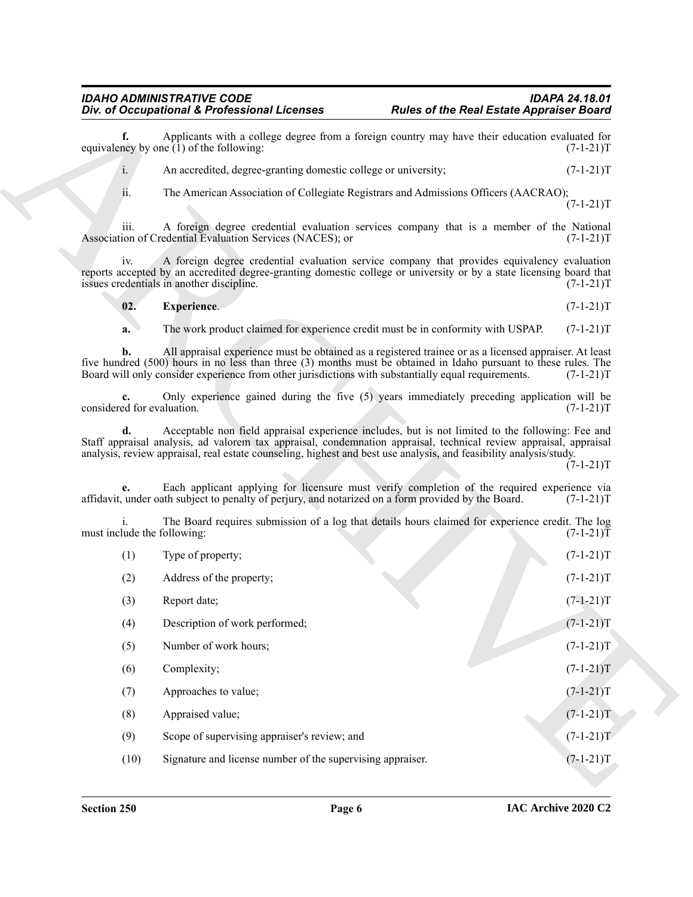<span id="page-5-0"></span>
$$
02. Experience. (7-1-21)T
$$

| Div. of Occupational & Professional Licenses |                                                                                                                                                                                                                                                                                                                                             | <b>Rules of the Real Estate Appraiser Board</b> |                                           |
|----------------------------------------------|---------------------------------------------------------------------------------------------------------------------------------------------------------------------------------------------------------------------------------------------------------------------------------------------------------------------------------------------|-------------------------------------------------|-------------------------------------------|
| f.                                           | Applicants with a college degree from a foreign country may have their education evaluated for<br>equivalency by one $(1)$ of the following:                                                                                                                                                                                                |                                                 | $(7-1-21)T$                               |
| i.                                           | An accredited, degree-granting domestic college or university;                                                                                                                                                                                                                                                                              |                                                 | $(7-1-21)T$                               |
| ii.                                          | The American Association of Collegiate Registrars and Admissions Officers (AACRAO);                                                                                                                                                                                                                                                         |                                                 | $(7-1-21)T$                               |
| 111.                                         | A foreign degree credential evaluation services company that is a member of the National<br>Association of Credential Evaluation Services (NACES); or                                                                                                                                                                                       |                                                 | $(7-1-21)T$                               |
| iv.                                          | A foreign degree credential evaluation service company that provides equivalency evaluation<br>reports accepted by an accredited degree-granting domestic college or university or by a state licensing board that<br>issues credentials in another discipline.                                                                             |                                                 | $(7-1-21)T$                               |
| 02.                                          | <b>Experience.</b>                                                                                                                                                                                                                                                                                                                          |                                                 | $(7-1-21)T$                               |
| a.                                           | The work product claimed for experience credit must be in conformity with USPAP.                                                                                                                                                                                                                                                            |                                                 | $(7-1-21)T$                               |
| b.                                           | All appraisal experience must be obtained as a registered trainee or as a licensed appraiser. At least<br>five hundred (500) hours in no less than three (3) months must be obtained in Idaho pursuant to these rules. The<br>Board will only consider experience from other jurisdictions with substantially equal requirements.           |                                                 | $(7-1-21)T$                               |
| considered for evaluation.                   | Only experience gained during the five (5) years immediately preceding application will be                                                                                                                                                                                                                                                  |                                                 | $(7-1-21)T$                               |
|                                              | Acceptable non field appraisal experience includes, but is not limited to the following: Fee and<br>Staff appraisal analysis, ad valorem tax appraisal, condemnation appraisal, technical review appraisal, appraisal<br>analysis, review appraisal, real estate counseling, highest and best use analysis, and feasibility analysis/study. |                                                 | $(7-1-21)T$                               |
| e.                                           | Each applicant applying for licensure must verify completion of the required experience via<br>affidavit, under oath subject to penalty of perjury, and notarized on a form provided by the Board.                                                                                                                                          |                                                 | $(7-1-21)T$                               |
| must include the following:                  | The Board requires submission of a log that details hours claimed for experience credit. The log                                                                                                                                                                                                                                            |                                                 | $(7-1-21)T$                               |
| (1)                                          | Type of property;                                                                                                                                                                                                                                                                                                                           |                                                 | $(7-1-21)T$                               |
| (2)                                          | Address of the property;                                                                                                                                                                                                                                                                                                                    |                                                 | $(7-1-21)T$                               |
| (3)                                          | Report date;                                                                                                                                                                                                                                                                                                                                |                                                 | $(7-1-21)T$                               |
| (4)                                          | Description of work performed;                                                                                                                                                                                                                                                                                                              |                                                 | $(7-1-21)T$                               |
| (5)                                          | Number of work hours;                                                                                                                                                                                                                                                                                                                       |                                                 | $(7-1-21)T$                               |
| (6)                                          | Complexity;                                                                                                                                                                                                                                                                                                                                 |                                                 | $(7-1-21)T$                               |
|                                              |                                                                                                                                                                                                                                                                                                                                             |                                                 |                                           |
| (7)                                          | Approaches to value;                                                                                                                                                                                                                                                                                                                        |                                                 |                                           |
| (8)                                          | Appraised value;                                                                                                                                                                                                                                                                                                                            |                                                 |                                           |
| (9)                                          | Scope of supervising appraiser's review; and                                                                                                                                                                                                                                                                                                |                                                 | $(7-1-21)T$<br>$(7-1-21)T$<br>$(7-1-21)T$ |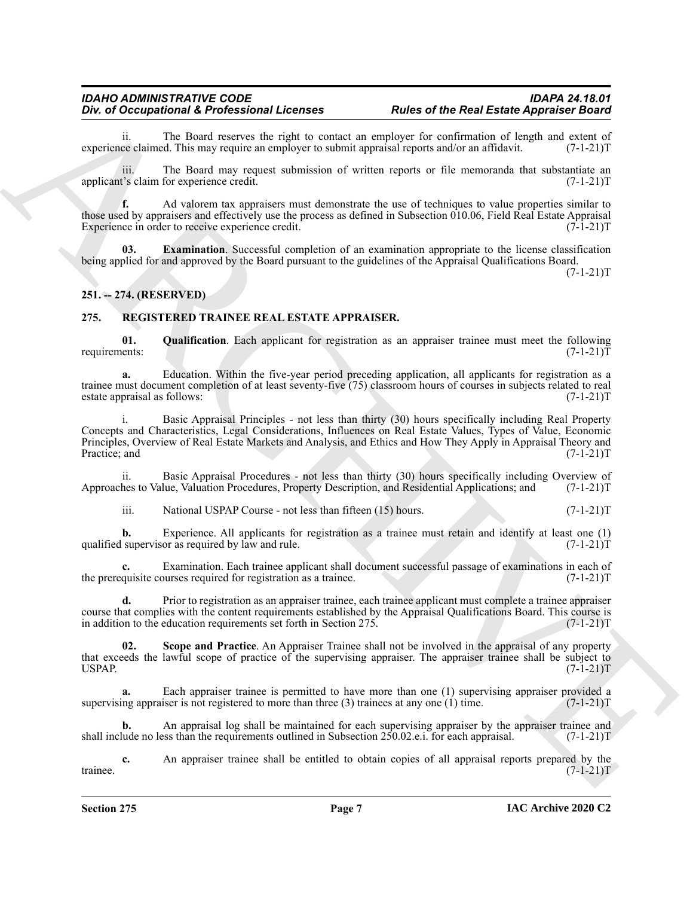ii. The Board reserves the right to contact an employer for confirmation of length and extent of ce claimed. This may require an employer to submit appraisal reports and/or an affidavit.  $(7-1-21)$ T experience claimed. This may require an employer to submit appraisal reports and/or an affidavit.

iii. The Board may request submission of written reports or file memoranda that substantiate an applicant's claim for experience credit. (7-1-21)T

**f.** Ad valorem tax appraisers must demonstrate the use of techniques to value properties similar to those used by appraisers and effectively use the process as defined in Subsection 010.06, Field Real Estate Appraisal Experience in order to receive experience credit. (7-1-21)T

<span id="page-6-5"></span>**03. Examination**. Successful completion of an examination appropriate to the license classification being applied for and approved by the Board pursuant to the guidelines of the Appraisal Qualifications Board.

 $(7-1-21)T$ 

#### <span id="page-6-0"></span>**251. -- 274. (RESERVED)**

#### <span id="page-6-2"></span><span id="page-6-1"></span>**275. REGISTERED TRAINEE REAL ESTATE APPRAISER.**

<span id="page-6-3"></span>**01.** Qualification. Each applicant for registration as an appraiser trainee must meet the following ents:  $(7-1-21)T$ requirements:

**a.** Education. Within the five-year period preceding application, all applicants for registration as a trainee must document completion of at least seventy-five (75) classroom hours of courses in subjects related to real estate appraisal as follows: (7-1-21)T

The d Occupational K Poles also the sensitive and the sensitive and the sensitive and the sensitive and the sensitive and the sensitive and the sensitive and the sensitive and the sensitive and the sensitive and the sensi i. Basic Appraisal Principles - not less than thirty (30) hours specifically including Real Property Concepts and Characteristics, Legal Considerations, Influences on Real Estate Values, Types of Value, Economic Principles, Overview of Real Estate Markets and Analysis, and Ethics and How They Apply in Appraisal Theory and Practice; and (7-1-21)T

ii. Basic Appraisal Procedures - not less than thirty (30) hours specifically including Overview of hes to Value, Valuation Procedures, Property Description, and Residential Applications; and (7-1-21)T Approaches to Value, Valuation Procedures, Property Description, and Residential Applications; and

iii. National USPAP Course - not less than fifteen  $(15)$  hours.  $(7-1-21)$ T

**b.** Experience. All applicants for registration as a trainee must retain and identify at least one (1) supervisor as required by law and rule. (7-1-21) qualified supervisor as required by law and rule.

Examination. Each trainee applicant shall document successful passage of examinations in each of ourses required for registration as a trainee.  $(7-1-21)$ the prerequisite courses required for registration as a trainee.

**d.** Prior to registration as an appraiser trainee, each trainee applicant must complete a trainee appraiser course that complies with the content requirements established by the Appraisal Qualifications Board. This course is<br>in addition to the education requirements set forth in Section 275. (7-1-21) in addition to the education requirements set forth in Section 275.

<span id="page-6-4"></span>**Scope and Practice**. An Appraiser Trainee shall not be involved in the appraisal of any property that exceeds the lawful scope of practice of the supervising appraiser. The appraiser trainee shall be subject to USPAP. (7-1-21)T USPAP.  $(7-1-21)$ T

**a.** Each appraiser trainee is permitted to have more than one (1) supervising appraiser provided a ing appraiser is not registered to more than three (3) trainees at any one (1) time. (7-1-21) supervising appraiser is not registered to more than three  $(3)$  trainees at any one  $(1)$  time.

**b.** An appraisal log shall be maintained for each supervising appraiser by the appraiser trainee and lude no less than the requirements outlined in Subsection 250.02.e.i. for each appraisal. (7-1-21)T shall include no less than the requirements outlined in Subsection  $250.02$ .e.i. for each appraisal.

**c.** An appraiser trainee shall be entitled to obtain copies of all appraisal reports prepared by the  $(7-1-21)$ T trainee.  $(7-1-21)T$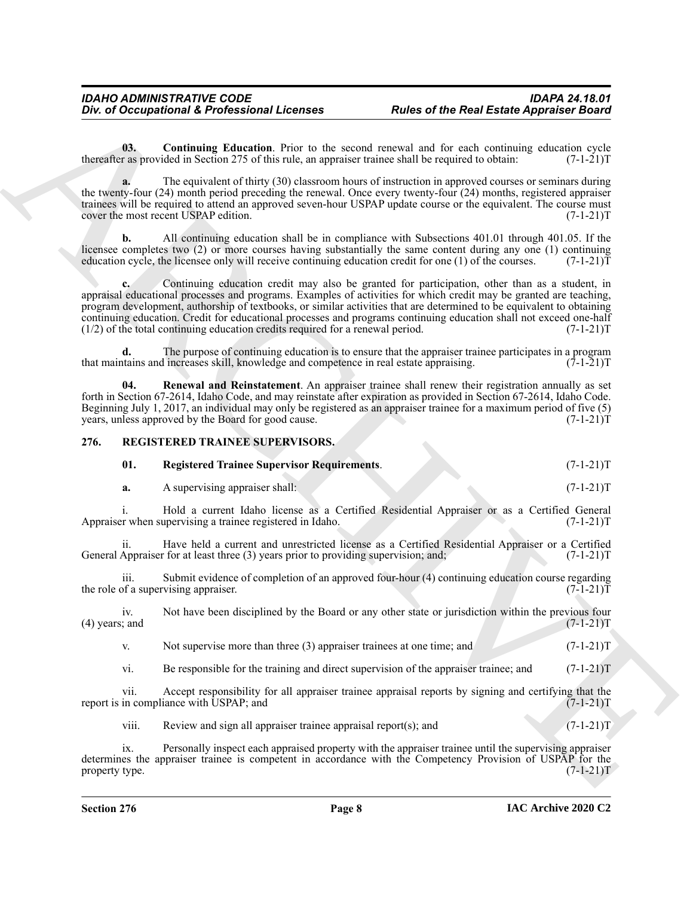<span id="page-7-1"></span>**03. Continuing Education**. Prior to the second renewal and for each continuing education cycle r as provided in Section 275 of this rule, an appraiser trainee shall be required to obtain: (7-1-21) thereafter as provided in Section 275 of this rule, an appraiser trainee shall be required to obtain:

**a.** The equivalent of thirty (30) classroom hours of instruction in approved courses or seminars during the twenty-four (24) month period preceding the renewal. Once every twenty-four (24) months, registered appraiser trainees will be required to attend an approved seven-hour USPAP update course or the equivalent. The course must<br>cover the most recent USPAP edition. (7-1-21)T cover the most recent USPAP edition.

**b.** All continuing education shall be in compliance with Subsections 401.01 through 401.05. If the licensee completes two (2) or more courses having substantially the same content during any one (1) continuing education cycle, the licensee only will receive continuing education credit for one (1) of the courses.  $(7-1$ education cycle, the licensee only will receive continuing education credit for one  $(1)$  of the courses.

One of Occupational & Professional Licenses<br>
But of the Real Easte Appearance Board<br>
Survey of the Real Easter Appearance Board<br>
Survey of the Real Easter Appearance Board<br>
Survey of the Survey of the Real Counter of the **c.** Continuing education credit may also be granted for participation, other than as a student, in appraisal educational processes and programs. Examples of activities for which credit may be granted are teaching, program development, authorship of textbooks, or similar activities that are determined to be equivalent to obtaining continuing education. Credit for educational processes and programs continuing education shall not exceed one-half (1/2) of the total continuing education credits required for a renewal period. (7-1-21)  $(1/2)$  of the total continuing education credits required for a renewal period.

**d.** The purpose of continuing education is to ensure that the appraiser trainee participates in a program trains and increases skill, knowledge and competence in real estate appraising. (7-1-21) that maintains and increases skill, knowledge and competence in real estate appraising.

<span id="page-7-2"></span>**04. Renewal and Reinstatement**. An appraiser trainee shall renew their registration annually as set forth in Section 67-2614, Idaho Code, and may reinstate after expiration as provided in Section 67-2614, Idaho Code. Beginning July 1, 2017, an individual may only be registered as an appraiser trainee for a maximum period of five (5) vears, unless approved by the Board for good cause. years, unless approved by the Board for good cause.

#### <span id="page-7-0"></span>**276. REGISTERED TRAINEE SUPERVISORS.**

<span id="page-7-4"></span><span id="page-7-3"></span>

| - 01. | <b>Registered Trainee Supervisor Requirements.</b> | $(7-1-21)T$ |
|-------|----------------------------------------------------|-------------|
|       |                                                    |             |

**a.** A supervising appraiser shall: (7-1-21)T

i. Hold a current Idaho license as a Certified Residential Appraiser or as a Certified General<br>r when supervising a trainee registered in Idaho. (7-1-21) Appraiser when supervising a trainee registered in Idaho.

ii. Have held a current and unrestricted license as a Certified Residential Appraiser or a Certified General Appraiser for at least three (3) years prior to providing supervision; and; (7-1-21) T

iii. Submit evidence of completion of an approved four-hour (4) continuing education course regarding of a supervising appraiser. the role of a supervising appraiser.

iv. Not have been disciplined by the Board or any other state or jurisdiction within the previous four <br>(7-1-21)T  $(4)$  years; and

v. Not supervise more than three  $(3)$  appraiser trainees at one time; and  $(7-1-21)$ T

vi. Be responsible for the training and direct supervision of the appraiser trainee; and (7-1-21)T

vii. Accept responsibility for all appraiser trainee appraisal reports by signing and certifying that the in compliance with USPAP; and  $(7-1-21)$ T report is in compliance with USPAP; and

viii. Review and sign all appraiser trainee appraisal report(s); and  $(7-1-21)$ T

ix. Personally inspect each appraised property with the appraiser trainee until the supervising appraiser determines the appraiser trainee is competent in accordance with the Competency Provision of USPAP for the property type. (7-1-21)T property type.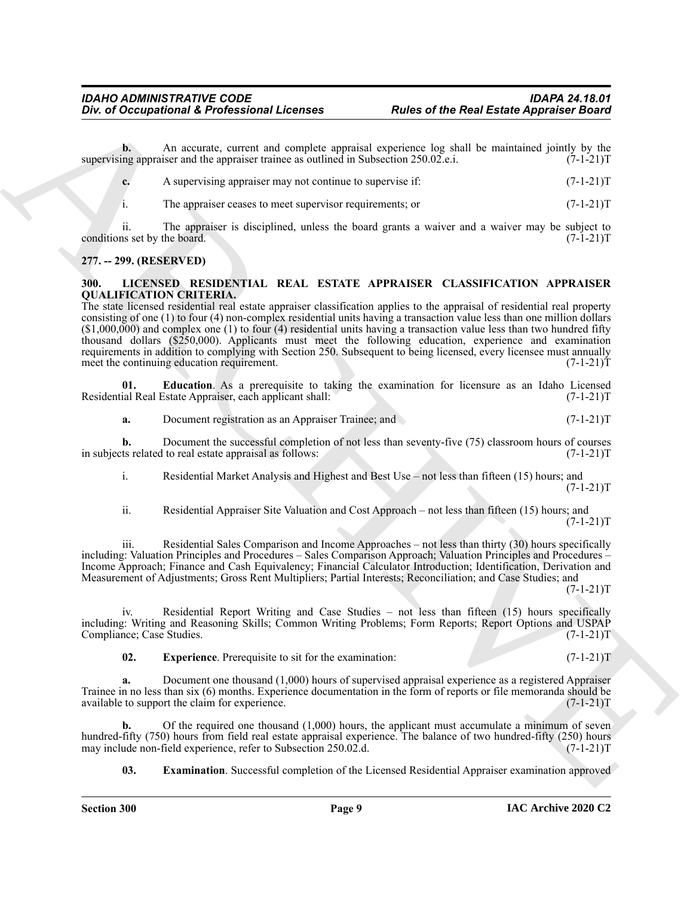**b.** An accurate, current and complete appraisal experience log shall be maintained jointly by the ng appraiser and the appraiser trainee as outlined in Subsection 250.02.e.i. (7-1-21) supervising appraiser and the appraiser trainee as outlined in Subsection 250.02.e.i.

|  | A supervising appraiser may not continue to supervise if: |  |  |  |  |
|--|-----------------------------------------------------------|--|--|--|--|
|--|-----------------------------------------------------------|--|--|--|--|

i. The appraiser ceases to meet supervisor requirements; or (7-1-21)T

ii. The appraiser is disciplined, unless the board grants a waiver and a waiver may be subject to is set by the board.  $(7-1-21)T$ conditions set by the board.

#### <span id="page-8-0"></span>**277. -- 299. (RESERVED)**

#### <span id="page-8-2"></span><span id="page-8-1"></span>**300. LICENSED RESIDENTIAL REAL ESTATE APPRAISER CLASSIFICATION APPRAISER QUALIFICATION CRITERIA.**

One of Occupational & Professional Licenses<br>
Note of the Real Easte Appearance Board<br>
Archives Archives and the state of the Real Eastes Appearance Board<br>
Note that a control of the state of the state of the state of the The state licensed residential real estate appraiser classification applies to the appraisal of residential real property consisting of one (1) to four (4) non-complex residential units having a transaction value less than one million dollars (\$1,000,000) and complex one (1) to four (4) residential units having a transaction value less than two hundred fifty thousand dollars (\$250,000). Applicants must meet the following education, experience and examination requirements in addition to complying with Section 250. Subsequent to being licensed, every licensee must annually meet the continuing education requirement. (7-1-21)T

**01. Education**. As a prerequisite to taking the examination for licensure as an Idaho Licensed ial Real Estate Appraiser, each applicant shall: (7-1-21) Residential Real Estate Appraiser, each applicant shall:

<span id="page-8-3"></span>**a.** Document registration as an Appraiser Trainee; and (7-1-21)T

**b.** Document the successful completion of not less than seventy-five (75) classroom hours of courses ts related to real estate appraisal as follows:  $(7-1-21)$ in subjects related to real estate appraisal as follows:

i. Residential Market Analysis and Highest and Best Use – not less than fifteen (15) hours; and  $(7-1-21)T$ 

ii. Residential Appraiser Site Valuation and Cost Approach – not less than fifteen (15) hours; and  $(7-1-21)T$ 

iii. Residential Sales Comparison and Income Approaches – not less than thirty (30) hours specifically including: Valuation Principles and Procedures – Sales Comparison Approach; Valuation Principles and Procedures – Income Approach; Finance and Cash Equivalency; Financial Calculator Introduction; Identification, Derivation and Measurement of Adjustments; Gross Rent Multipliers; Partial Interests; Reconciliation; and Case Studies; and  $(7-1-21)T$ 

iv. Residential Report Writing and Case Studies – not less than fifteen (15) hours specifically including: Writing and Reasoning Skills; Common Writing Problems; Form Reports; Report Óptions and USPAP<br>Compliance; Case Studies. (7-1-21)T Compliance; Case Studies.

<span id="page-8-5"></span>**02.** Experience. Prerequisite to sit for the examination: (7-1-21)T

**a.** Document one thousand (1,000) hours of supervised appraisal experience as a registered Appraiser Trainee in no less than six (6) months. Experience documentation in the form of reports or file memoranda should be available to support the claim for experience. (7-1-21) available to support the claim for experience.

**b.** Of the required one thousand (1,000) hours, the applicant must accumulate a minimum of seven hundred-fifty (750) hours from field real estate appraisal experience. The balance of two hundred-fifty (250) hours may include non-field experience, refer to Subsection 250.02.d. (7-1-21) may include non-field experience, refer to Subsection 250.02.d.

<span id="page-8-4"></span>**03. Examination**. Successful completion of the Licensed Residential Appraiser examination approved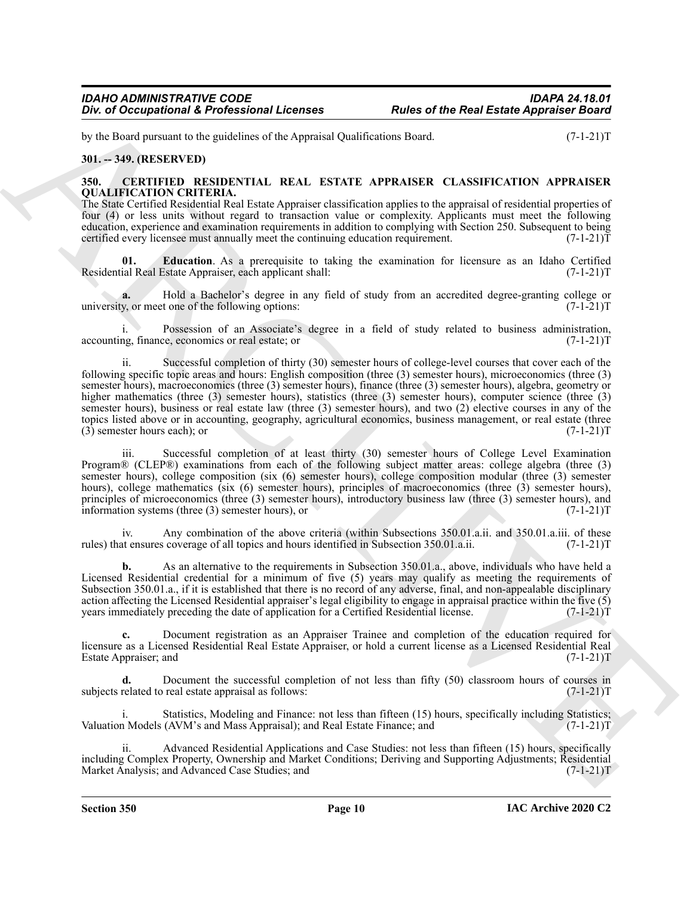by the Board pursuant to the guidelines of the Appraisal Qualifications Board. (7-1-21)T

#### <span id="page-9-0"></span>**301. -- 349. (RESERVED)**

#### <span id="page-9-2"></span><span id="page-9-1"></span>**350. CERTIFIED RESIDENTIAL REAL ESTATE APPRAISER CLASSIFICATION APPRAISER QUALIFICATION CRITERIA.**

The State Certified Residential Real Estate Appraiser classification applies to the appraisal of residential properties of four (4) or less units without regard to transaction value or complexity. Applicants must meet the following education, experience and examination requirements in addition to complying with Section 250. Subsequent to being certified every licensee must annually meet the continuing education requirement.  $(7-1-21)\bar{T}$ 

<span id="page-9-3"></span>**01. Education**. As a prerequisite to taking the examination for licensure as an Idaho Certified ial Real Estate Appraiser, each applicant shall:  $(7-1-21)T$ Residential Real Estate Appraiser, each applicant shall:

**a.** Hold a Bachelor's degree in any field of study from an accredited degree-granting college or y, or meet one of the following options:  $(7-1-21)$ university, or meet one of the following options:

i. Possession of an Associate's degree in a field of study related to business administration, accounting, finance, economics or real estate; or (7-1-21)T

One of Occupational K Professional Licenses<br>
Fuller of the Real Easts Appearing Road<br>
Mathematic United Sections 2014<br>
Mathematic Section 2014 (1997)<br>
Mathematic Section 2014 (1997)<br>
Mathematic Section 2014 (1997)<br>
Mathem ii. Successful completion of thirty (30) semester hours of college-level courses that cover each of the following specific topic areas and hours: English composition (three (3) semester hours), microeconomics (three (3) semester hours), macroeconomics (three (3) semester hours), finance (three (3) semester hours), algebra, geometry or higher mathematics (three (3) semester hours), statistics (three (3) semester hours), computer science (three (3) semester hours), business or real estate law (three (3) semester hours), and two (2) elective courses in any of the topics listed above or in accounting, geography, agricultural economics, business management, or real estate (three (3) semester hours each); or  $(7-1-21)$  $(3)$  semester hours each); or

iii. Successful completion of at least thirty (30) semester hours of College Level Examination Program® (CLEP®) examinations from each of the following subject matter areas: college algebra (three (3) semester hours), college composition (six (6) semester hours), college composition modular (three (3) semester hours), college mathematics (six (6) semester hours), principles of macroeconomics (three (3) semester hours), principles of microeconomics (three (3) semester hours), introductory business law (three (3) semester hours), and information systems (three (3) semester hours), or (7-1-21)T

iv. Any combination of the above criteria (within Subsections 350.01.a.ii. and 350.01.a.iii. of these at ensures coverage of all topics and hours identified in Subsection 350.01.a.ii. (7-1-21) rules) that ensures coverage of all topics and hours identified in Subsection 350.01.a.ii.

**b.** As an alternative to the requirements in Subsection 350.01.a., above, individuals who have held a Licensed Residential credential for a minimum of five (5) years may qualify as meeting the requirements of Subsection 350.01.a., if it is established that there is no record of any adverse, final, and non-appealable disciplinary action affecting the Licensed Residential appraiser's legal eligibility to engage in appraisal practice within the five (5) years immediately preceding the date of application for a Certified Residential license. (7-1-21)T

**c.** Document registration as an Appraiser Trainee and completion of the education required for licensure as a Licensed Residential Real Estate Appraiser, or hold a current license as a Licensed Residential Real Estate Appraiser; and (7-1-21)T

**d.** Document the successful completion of not less than fifty (50) classroom hours of courses in related to real estate appraisal as follows:  $(7-1-21)$ subjects related to real estate appraisal as follows:

Statistics, Modeling and Finance: not less than fifteen (15) hours, specifically including Statistics; Valuation Models (AVM's and Mass Appraisal); and Real Estate Finance; and (7-1-21)T

ii. Advanced Residential Applications and Case Studies: not less than fifteen (15) hours, specifically including Complex Property, Ownership and Market Conditions; Deriving and Supporting Adjustments; Residential Market Analysis; and Advanced Case Studies; and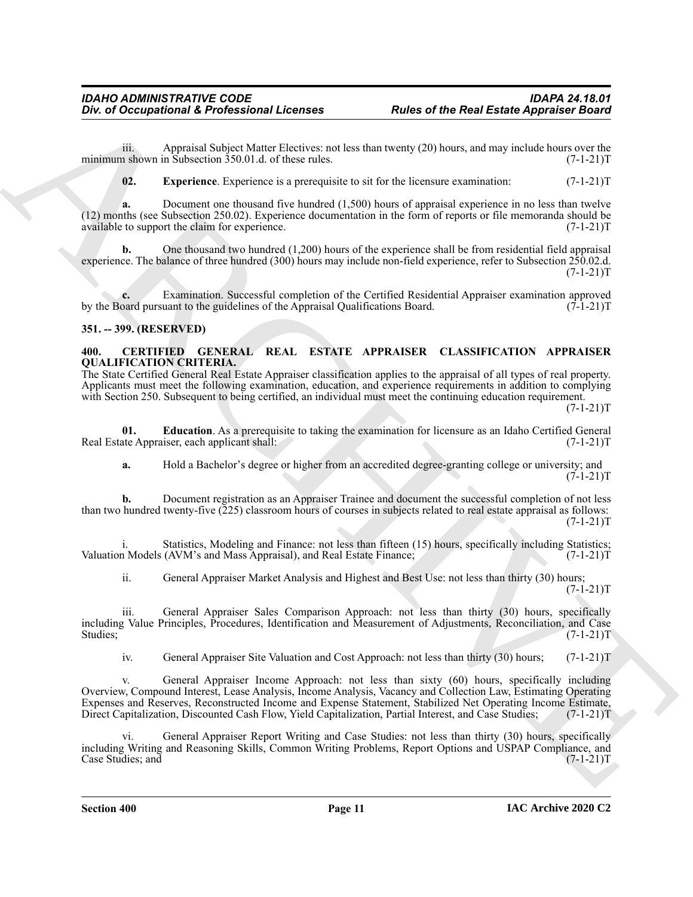iii. Appraisal Subject Matter Electives: not less than twenty (20) hours, and may include hours over the n shown in Subsection 350.01.d. of these rules.  $(7-1-21)T$ minimum shown in Subsection  $350.01$ .d. of these rules.

<span id="page-10-4"></span>**02. Experience**. Experience is a prerequisite to sit for the licensure examination:  $(7-1-21)T$ 

**a.** Document one thousand five hundred (1,500) hours of appraisal experience in no less than twelve (12) months (see Subsection 250.02). Experience documentation in the form of reports or file memoranda should be available to support the claim for experience. (7-1-21)T

**b.** One thousand two hundred (1,200) hours of the experience shall be from residential field appraisal experience. The balance of three hundred (300) hours may include non-field experience, refer to Subsection 250.02.d.  $(7-1-21)T$ 

**c.** Examination. Successful completion of the Certified Residential Appraiser examination approved oard pursuant to the guidelines of the Appraisal Qualifications Board. (7-1-21) by the Board pursuant to the guidelines of the Appraisal Qualifications Board.

#### <span id="page-10-0"></span>**351. -- 399. (RESERVED)**

#### <span id="page-10-2"></span><span id="page-10-1"></span>**400. CERTIFIED GENERAL REAL ESTATE APPRAISER CLASSIFICATION APPRAISER QUALIFICATION CRITERIA.**

The State Certified General Real Estate Appraiser classification applies to the appraisal of all types of real property. Applicants must meet the following examination, education, and experience requirements in addition to complying with Section 250. Subsequent to being certified, an individual must meet the continuing education requirement.

 $(7-1-21)T$ 

**01. Education**. As a prerequisite to taking the examination for licensure as an Idaho Certified General ate Appraiser, each applicant shall: (7-1-21) Real Estate Appraiser, each applicant shall:

<span id="page-10-3"></span>**a.** Hold a Bachelor's degree or higher from an accredited degree-granting college or university; and  $(7-1-21)T$ 

**b.** Document registration as an Appraiser Trainee and document the successful completion of not less than two hundred twenty-five (225) classroom hours of courses in subjects related to real estate appraisal as follows:  $(7-1-21)T$ 

i. Statistics, Modeling and Finance: not less than fifteen (15) hours, specifically including Statistics; Valuation Models (AVM's and Mass Appraisal), and Real Estate Finance; (7-1-21)T

ii. General Appraiser Market Analysis and Highest and Best Use: not less than thirty (30) hours;  $(7-1-21)T$ 

iii. General Appraiser Sales Comparison Approach: not less than thirty (30) hours, specifically including Value Principles, Procedures, Identification and Measurement of Adjustments, Reconciliation, and Case Studies; (7-1-21)T

iv. General Appraiser Site Valuation and Cost Approach: not less than thirty (30) hours; (7-1-21)T

One of Occupational & Professional Licenses<br>
Roles of the Real Easte Appendix Road<br>
interaction (Solven Mole) at the state in the state that the state is the state of the state of the State interaction<br>
with the state of General Appraiser Income Approach: not less than sixty (60) hours, specifically including Overview, Compound Interest, Lease Analysis, Income Analysis, Vacancy and Collection Law, Estimating Operating Expenses and Reserves, Reconstructed Income and Expense Statement, Stabilized Net Operating Income Estimate, Direct Capitalization, Discounted Cash Flow, Yield Capitalization, Partial Interest, and Case Studies; (7-1-21)T

General Appraiser Report Writing and Case Studies: not less than thirty (30) hours, specifically including Writing and Reasoning Skills, Common Writing Problems, Report Options and USPAP Compliance, and Case Studies; and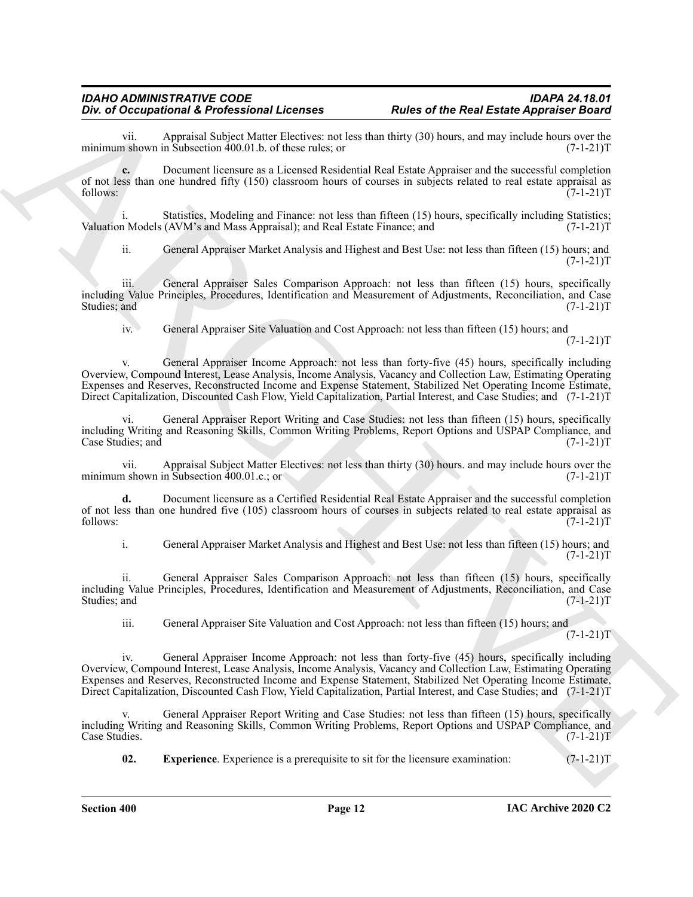vii. Appraisal Subject Matter Electives: not less than thirty (30) hours, and may include hours over the a shown in Subsection 400.01.b. of these rules; or minimum shown in Subsection  $400.01$  b. of these rules; or

**c.** Document licensure as a Licensed Residential Real Estate Appraiser and the successful completion of not less than one hundred fifty (150) classroom hours of courses in subjects related to real estate appraisal as follows:  $(7-1-21)T$ 

i. Statistics, Modeling and Finance: not less than fifteen (15) hours, specifically including Statistics; Valuation Models (AVM's and Mass Appraisal); and Real Estate Finance; and (7-1-21) T

ii. General Appraiser Market Analysis and Highest and Best Use: not less than fifteen (15) hours; and  $(7-1-21)T$ 

iii. General Appraiser Sales Comparison Approach: not less than fifteen (15) hours, specifically including Value Principles, Procedures, Identification and Measurement of Adjustments, Reconciliation, and Case Studies; and (7-1-21)T

iv. General Appraiser Site Valuation and Cost Approach: not less than fifteen (15) hours; and  $(7-1-21)T$ 

One of Occupation's *K* Portrash Software and the team of the Real Easts Appendix Real<br>
maintain shows in Some Real Course and Los Universal loss denotes the state of the state of the Real Course in the<br>
maintain shows th v. General Appraiser Income Approach: not less than forty-five (45) hours, specifically including Overview, Compound Interest, Lease Analysis, Income Analysis, Vacancy and Collection Law, Estimating Operating Expenses and Reserves, Reconstructed Income and Expense Statement, Stabilized Net Operating Income Estimate, Direct Capitalization, Discounted Cash Flow, Yield Capitalization, Partial Interest, and Case Studies; and (7-1-21)T

vi. General Appraiser Report Writing and Case Studies: not less than fifteen (15) hours, specifically including Writing and Reasoning Skills, Common Writing Problems, Report Options and USPAP Compliance, and Case Studies; and

vii. Appraisal Subject Matter Electives: not less than thirty (30) hours. and may include hours over the n shown in Subsection 400.01.c.; or minimum shown in Subsection  $400.01.c.;$  or

**d.** Document licensure as a Certified Residential Real Estate Appraiser and the successful completion of not less than one hundred five (105) classroom hours of courses in subjects related to real estate appraisal as follows: (7-1-21)  $f_{0}$  follows:  $(7-1-21)$ T

i. General Appraiser Market Analysis and Highest and Best Use: not less than fifteen (15) hours; and  $(7-1-21)T$ 

ii. General Appraiser Sales Comparison Approach: not less than fifteen (15) hours, specifically including Value Principles, Procedures, Identification and Measurement of Adjustments, Reconciliation, and Case Studies; and (7-1-21)T

iii. General Appraiser Site Valuation and Cost Approach: not less than fifteen (15) hours; and

 $(7-1-21)T$ 

iv. General Appraiser Income Approach: not less than forty-five (45) hours, specifically including Overview, Compound Interest, Lease Analysis, Income Analysis, Vacancy and Collection Law, Estimating Operating Expenses and Reserves, Reconstructed Income and Expense Statement, Stabilized Net Operating Income Estimate, Direct Capitalization, Discounted Cash Flow, Yield Capitalization, Partial Interest, and Case Studies; and (7-1-21)T

General Appraiser Report Writing and Case Studies: not less than fifteen (15) hours, specifically including Writing and Reasoning Skills, Common Writing Problems, Report Options and USPAP Compliance, and Case Studies. (7-1-21)T

<span id="page-11-0"></span>**02.** Experience. Experience is a prerequisite to sit for the licensure examination:  $(7-1-21)$ T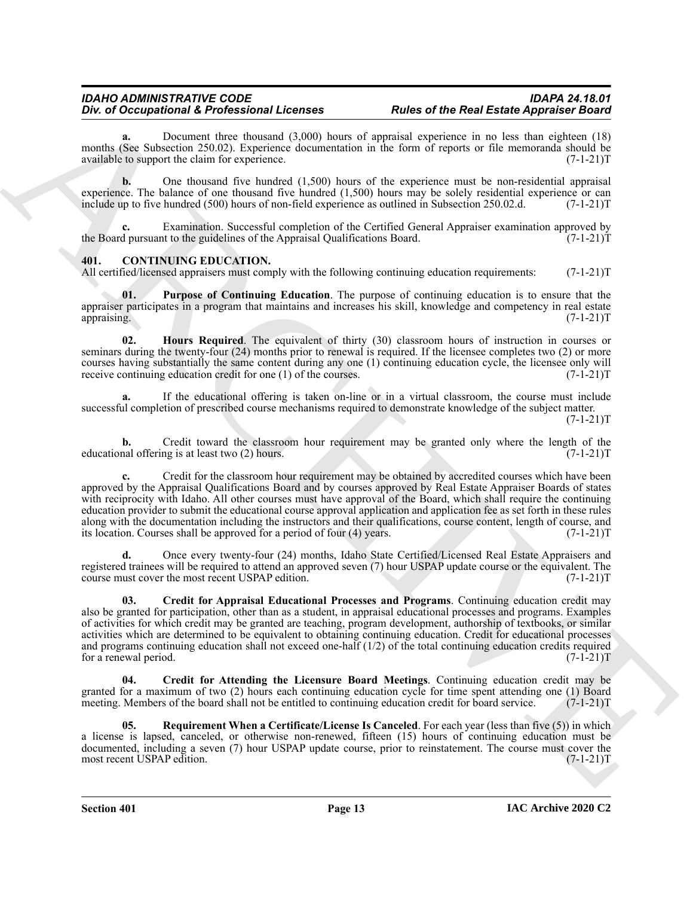**a.** Document three thousand (3,000) hours of appraisal experience in no less than eighteen (18) months (See Subsection 250.02). Experience documentation in the form of reports or file memoranda should be available to support the claim for experience. (7-1-21) available to support the claim for experience.

**b.** One thousand five hundred (1,500) hours of the experience must be non-residential appraisal experience. The balance of one thousand five hundred  $(1,500)$  hours may be solely residential experience or can include up to five hundred  $(500)$  hours of non-field experience as outlined in Subsection 250.02.d.  $(7-1-2$ include up to five hundred (500) hours of non-field experience as outlined in Subsection 250.02.d.

Examination. Successful completion of the Certified General Appraiser examination approved by the Board pursuant to the guidelines of the Appraisal Qualifications Board.  $(7-1-21)$ T

#### <span id="page-12-1"></span><span id="page-12-0"></span>**401. CONTINUING EDUCATION.**

All certified/licensed appraisers must comply with the following continuing education requirements: (7-1-21)T

<span id="page-12-5"></span>**01. Purpose of Continuing Education**. The purpose of continuing education is to ensure that the appraiser participates in a program that maintains and increases his skill, knowledge and competency in real estate appraising.  $(7-1-21)T$ appraising. (7-1-21)T

<span id="page-12-4"></span>**02. Hours Required**. The equivalent of thirty (30) classroom hours of instruction in courses or seminars during the twenty-four (24) months prior to renewal is required. If the licensee completes two (2) or more courses having substantially the same content during any one (1) continuing education cycle, the licensee only will receive continuing education credit for one (1) of the courses. (7-1-21) receive continuing education credit for one  $(1)$  of the courses.

**a.** If the educational offering is taken on-line or in a virtual classroom, the course must include successful completion of prescribed course mechanisms required to demonstrate knowledge of the subject matter.  $(7-1-21)T$ 

**b.** Credit toward the classroom hour requirement may be granted only where the length of the nal offering is at least two (2) hours.  $(7-1-21)T$ educational offering is at least two  $(2)$  hours.

One of Occupational & Professional Likes 2nd and the Relational Control of the Relational Control of the Relational Control of the Relational Control of the Control of the Control of the Control of the Control of the Cont **c.** Credit for the classroom hour requirement may be obtained by accredited courses which have been approved by the Appraisal Qualifications Board and by courses approved by Real Estate Appraiser Boards of states with reciprocity with Idaho. All other courses must have approval of the Board, which shall require the continuing education provider to submit the educational course approval application and application fee as set forth in these rules along with the documentation including the instructors and their qualifications, course content, length of course, and its location. Courses shall be approved for a period of four  $(4)$  years.  $(7-1-21)$ its location. Courses shall be approved for a period of four (4) years.

**d.** Once every twenty-four (24) months, Idaho State Certified/Licensed Real Estate Appraisers and registered trainees will be required to attend an approved seven (7) hour USPAP update course or the equivalent. The course must cover the most recent USPAP edition. (7-1-21) course must cover the most recent USPAP edition.

<span id="page-12-2"></span>**03. Credit for Appraisal Educational Processes and Programs**. Continuing education credit may also be granted for participation, other than as a student, in appraisal educational processes and programs. Examples of activities for which credit may be granted are teaching, program development, authorship of textbooks, or similar activities which are determined to be equivalent to obtaining continuing education. Credit for educational processes and programs continuing education shall not exceed one-half (1/2) of the total continuing education credits required for a renewal period. (7-1-21)T

<span id="page-12-3"></span>**04. Credit for Attending the Licensure Board Meetings**. Continuing education credit may be granted for a maximum of two (2) hours each continuing education cycle for time spent attending one (1) Board meeting. Members of the board shall not be entitled to continuing education credit for board service. (7-1-21)T meeting. Members of the board shall not be entitled to continuing education credit for board service.

<span id="page-12-6"></span>**05. Requirement When a Certificate/License Is Canceled**. For each year (less than five (5)) in which a license is lapsed, canceled, or otherwise non-renewed, fifteen (15) hours of continuing education must be documented, including a seven (7) hour USPAP update course, prior to reinstatement. The course must cover the most recent USPAP edition. (7-1-21) most recent USPAP edition.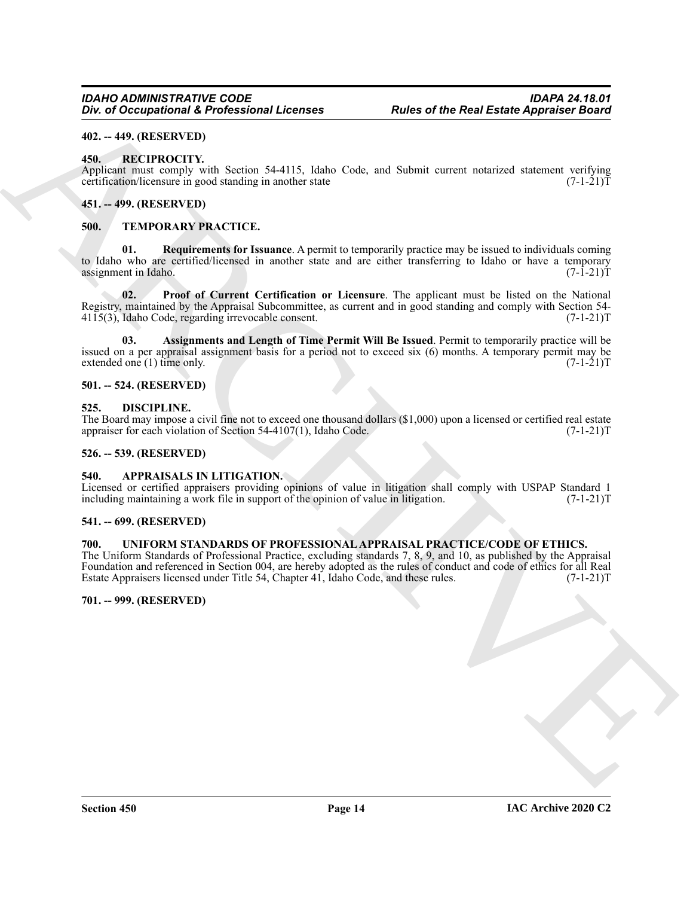#### <span id="page-13-0"></span>**402. -- 449. (RESERVED)**

#### <span id="page-13-13"></span><span id="page-13-1"></span>**450. RECIPROCITY.**

Applicant must comply with Section 54-4115, Idaho Code, and Submit current notarized statement verifying certification/licensure in good standing in another state certification/licensure in good standing in another state

#### <span id="page-13-2"></span>**451. -- 499. (RESERVED)**

#### <span id="page-13-17"></span><span id="page-13-14"></span><span id="page-13-3"></span>**500. TEMPORARY PRACTICE.**

ARCHIVE **01. Requirements for Issuance**. A permit to temporarily practice may be issued to individuals coming to Idaho who are certified/licensed in another state and are either transferring to Idaho or have a temporary<br>assignment in Idaho. (7-1-21) assignment in Idaho.

<span id="page-13-16"></span>**02. Proof of Current Certification or Licensure**. The applicant must be listed on the National Registry, maintained by the Appraisal Subcommittee, as current and in good standing and comply with Section 54-<br>4115(3), Idaho Code, regarding irrevocable consent. (7-1-21)  $4115(3)$ , Idaho Code, regarding irrevocable consent.

<span id="page-13-15"></span>**03. Assignments and Length of Time Permit Will Be Issued**. Permit to temporarily practice will be issued on a per appraisal assignment basis for a period not to exceed six (6) months. A temporary permit may be extended one (1) time only. (7-1-21) extended one  $(1)$  time only.

#### <span id="page-13-4"></span>**501. -- 524. (RESERVED)**

#### <span id="page-13-12"></span><span id="page-13-5"></span>**525. DISCIPLINE.**

The Board may impose a civil fine not to exceed one thousand dollars  $(\$1,000)$  upon a licensed or certified real estate appraiser for each violation of Section 54-4107(1), Idaho Code.  $(7-1-21)$ appraiser for each violation of Section  $54-4107(1)$ , Idaho Code.

#### <span id="page-13-6"></span>**526. -- 539. (RESERVED)**

#### <span id="page-13-11"></span><span id="page-13-7"></span>**540. APPRAISALS IN LITIGATION.**

Licensed or certified appraisers providing opinions of value in litigation shall comply with USPAP Standard 1 including maintaining a work file in support of the opinion of value in litigation. (7-1-21) including maintaining a work file in support of the opinion of value in litigation.

#### <span id="page-13-8"></span>**541. -- 699. (RESERVED)**

#### <span id="page-13-18"></span><span id="page-13-9"></span>**700. UNIFORM STANDARDS OF PROFESSIONAL APPRAISAL PRACTICE/CODE OF ETHICS.**

The Uniform Standards of Professional Practice, excluding standards 7, 8, 9, and 10, as published by the Appraisal Foundation and referenced in Section 004, are hereby adopted as the rules of conduct and code of ethics for all Real<br>Estate Appraisers licensed under Title 54, Chapter 41, Idaho Code, and these rules. (7-1-21)T Estate Appraisers licensed under Title 54, Chapter 41, Idaho Code, and these rules.

#### <span id="page-13-10"></span>**701. -- 999. (RESERVED)**